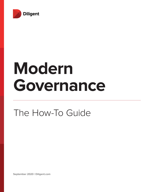

# **Modern Governance**

# The How-To Guide

**September 2020 | Diligent.com**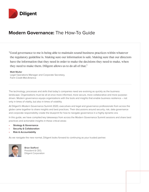

# **Modern Governance:** The How-To Guide

"Good governance to me is being able to maintain sound business practices within whatever the regulatory guideline is. Making sure our information is safe. Making sure that our directors have the information that they need in order to make the decisions they need to make, when they need to make them. Diligent allows us to do all of that."

### Matt Muller

Legal Operations Manager and Corporate Secretary, Farm Credit Mid-America

The technology, processes and skills that today's companies need are evolving as quickly as the business landscape. Organizations must be all at once more informed, more secure, more collaborative and more purposedriven. Modern governance equips organizations with the tools and insights that enable business resilience – not only in times of vitality, but also in times of volatility.

At Diligent's Modern Governance Summit 2020, executives and legal and governance professionals from across the globe came together to share insights and best practices. Their discussions around security, risk, data governance and corporate responsibility create the blueprint for how to navigate governance in a highly dynamic era.

In this guide, we have compiled key takeaways from across the Modern Governance Summit sessions and share best practices and actionable insights in these critical areas:

- **• Strategy & Governance**
- **• Security & Collaboration**
- **• Risk & Accountability**

As we navigate the new normal, Diligent looks forward to continuing as your trusted partner.



Brian Stafford President & CEO, Diligent Corporation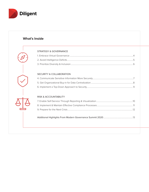

# **What's Inside**

### STRATEGY & GOVERNANCE

### SECURITY & COLLABORATION

### RISK & ACCOUNTABILITY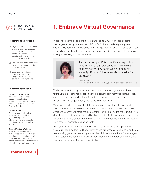# STRATEGY & GOVERNANCE

#### **Recommended Actions**

- $\Box$  Digitize any remaining manual or administrative processes, including book-building, board evaluations, D&O questionnaires and minutetaking and approvals.
- $\Box$  Protect video conference links by using the calendar feature in Diligent Boards.
- $\Box$  Leverage the voting & resolutions feature within Diligent Boards to collect approvals and signatures.

#### **Recommended Tools**

#### **Diligent Questionnaires**

An application to securely manage the collection and analysis of D&O questionnaires and board evaluations, all within Diligent Boards.

#### **Diligent Minutes**

A secure and collaborative application that enables governance professionals to take minutes and circulate for board approval, all within Diligent Boards.

#### **Secure Meeting Workflow**

A governance workflow tool that secures the preparation of board meeting materials, allowing governance professionals to collect information and collaborate with other permissioned users.

**[REQUEST A DEMO](https://learn.diligent.com/MGS2020PostEventMeetingRequest.html?utm_source=MGSRecap&utm_medium=email&utm_campaign=DILpg4 )**

# **1. Embrace Virtual Governance**

What once seemed like a short-term transition to virtual work has become the long-term reality. At the onset of COVID-19, the immediate priority was to successfully transition to virtual board meetings. Now other governance processes – including board evaluations, new director onboarding, D&O questionnaires and strategic planning – must follow suit.



"The silver lining of COVID is it's making us take another look at our processes and how we can do them better. How could we do them more securely? How could we make things easier for our users?"

Lisa Pascoe Vice President of Governance & System Effectiveness, Sparrow Health

While the transition may have been hectic at first, many organizations have found virtual governance capabilities to be beneficial in many respects. Diligent customers have streamlined administrative processes, increased director productivity and engagement, and reduced overall costs.

"What we [used to] do is print out the minutes and email them to my board members and say, 'Please review these,'" explained Judi Coleman, Executive Assistant, Greater Baltimore Medical Center HealthCare, during the Summit. "[We] don't have to do this anymore, and [we] can electronically and securely send them for approval. And that has made my CIO very happy because we're really secure right now. [Diligent is] an amazing tool."

As organizations continue the transition to fully online or hybrid operations, they're recognizing that traditional governance processes are no longer sufficient. Modernizing governance and operational workflows to meet today's challenges – and foster more secure, efficient collaboration among boards and executives – is now an imperative for every organization.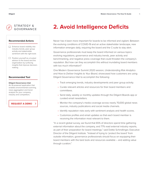# STRATEGY & GOVERNANCE

#### **Recommended Actions**

- $\Box$  Enhance board visibility into industry trends, peer group activity and stakeholder sentiment with the right tools
- $\Box$  Position yourself as a trusted advisor to the board and the organization by surfacing insights that improve decisionmaking.

#### **Recommended Tool**

#### **Diligent Governance Intel**

An AI-powered application that enables environmental scanning, news aggregation and trend analysis for your company, industry and competitors.

### **[REQUEST A DEMO](https://learn.diligent.com/MGS2020PostEventMeetingRequest.html?utm_source=MGSRecap&utm_medium=email&utm_campaign=DILpg5 )**

# **2. Avoid Intelligence Deficits**

Never has it been more important for boards to be informed and vigilant. Between the evolving conditions of COVID-19 and an active stakeholder landscape, new information emerges daily, requiring the board and the C-suite to stay alert.

Governance professionals must keep the board informed on various topics: evolving regulations, governance and industry trends, peer activity and benchmarking, and negative press coverage that could threaten the company's reputation. But how can they accomplish this without inundating board members with too much information?

One Modern Governance Summit 2020 session, *Understanding Risk Analytics and How to Deliver Insights to Your Board*, showcased how customers are using Diligent Governance Intel to accomplish the following:

- Track emerging trends, industry developments and peer group activity.
- Curate relevant articles and resources for their board members and committees.
- Send daily, weekly or monthly updates through the Diligent Boards app or curated email newsletters.
- Monitor the company's media coverage across nearly 70,000 global news sources, industry publications and social media channels.
- Identify reputation risks early with sentiment analysis and health scores.
- Customize profiles and email updates so that each board member is receiving the information most relevant to them.

"In a recent global survey, we found that 65% of directors spend time gathering external information about the company, and 77% read external industry reports, as part of their preparation for board meetings," said Dottie Schindlinger, Executive Director of the Diligent Institute. "Instead of trying to 'protect the board' from outside information, governance professionals should focus on equipping their board members with the best tools and resources available – and adding value through curation."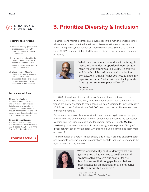### STRATEGY & GOVERNANCE

#### **Recommended Actions**

- $\Box$  Examine existing governance processes and work with board leadership to remove inherent bias.
- $\Box$  Leverage technology like the Diligent Director Network to reach beyond the board's personal network and identify qualified candidates.
- $\Box$  Share news of Diligent's Modern Leadership initiative with your board and encourage directors to submit names of qualified diverse candidates in their network.

#### **Recommended Tools**

#### **Diligent Nominations**

An application for nominating and governance committees that allows you to view board composition and performance through an independent lens and compare board practices to those of your peers and industry.

#### **Diligent Director Network**

A vast database of qualified board candidates, with advanced search capabilities, free within the Diligent Boards application.

**[REQUEST A DEMO](https://learn.diligent.com/MGS2020PostEventMeetingRequest.html?utm_source=MGSRecap&utm_medium=email&utm_campaign=DILpg6 )**

# **3. Prioritize Diversity & Inclusion**

To achieve and maintain competitive advantages in this market, companies must wholeheartedly embrace the benefits of a diverse workforce and leadership team. During the keynote speech at Modern Governance Summit 2020, Robin Hood CEO Wes Moore highlighted the role of diversity and inclusion in company prosperity:



"What is measured matters, and what matters gets measured. What does proportional representation mean for your company, at all levels? Be creative and thoughtful. Inclusion is not a box-checking exercise. Ask yourself, 'What do I need to make my organization better? What skills and backgrounds does my current makeup not address?'"

Wes Moore CEO, Robin Hood

In a 2018 international study, McKinsey & Company found that more diverse businesses were 33% more likely to have higher financial returns. Leadership trends are slowly changing to reflect these realities. According to Spencer Stuart's 2019 Board Index, 59% of all new S&P 500 board members in 2019 were women or minority directors.

Governance professionals must work with board leadership to ensure the right topics are on the board agenda, and that governance processes like succession planning and recruiting are examined for inherent biases. Diligent's **Modern Leadership** initiative demonstrates how technology and the power of Diligent's global network can connect boards with qualified, diverse candidates (learn more on page 13).

The current lack of diversity is not a supply-side issue. In order to diversify boards and corporate leadership teams, organizations must do their part to engage in the right pipeline-building activities.



"We've worked really hard to identify what our gaps are and what we need to be diverse, and we have actively sought out people…for the board who can fill those gaps. It's an obvious best practice for an organization to be reflective of the community they serve."

Stephanie Mansfield Board Vice Chair, TCU Financial Group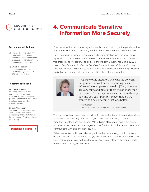

- $\Box$  Provide a secure alternative to email for confidential documents and conversations to ensure sensitive information remains in a closed loop.
- $\Box$  Weigh the cost of implementing secure technology against the cost of a potential data breach.

#### **Recommended Tools**

#### **Secure File Sharing**

An end-to-end secure data storage solution for board governance, internal and external groups, and executive leadership to collaborate, even when working remotely.

#### **Diligent Messenger**

Safeguard board and executive communication with a secure messaging platform that mirrors the experience of both email and SMS texting.

#### **[REQUEST A DEMO](https://learn.diligent.com/MGS2020PostEventMeetingRequest.html?utm_source=MGSRecap&utm_medium=email&utm_campaign=DILpg7 )**

 $\rightarrow$ 

# **4. Communicate Sensitive Information More Securely**

Email remains the lifeblood of organizational communication, yet the pandemic has revealed its limitations, particularly when it comes to confidential communication.

Today, a new generation of technology and communication systems now enable highly secure collaboration and workflows. COVID-19 has dramatically accelerated this process and will continue to do so. In the Modern Governance Summit 2020 session *Best Practices for Remote Sensitive Communication, Collaboration and Meeting Workflow*, Diligent customer Tammy Wellcome described her organization's motivation for seeking out a secure and efficient collaboration method:



"It was a twofold situation. One was the concern our general counsel had with sending [sensitive] information over personal email…. [Two,] directors are very busy, and most of them are on more than one board…. They may not check their email every day, and you can't possibly expect that. So we wanted to find something that was better."

Tammy Wellcome Corporate Governance Paralegal, American Water Works

The pandemic has forced boards and senior leadership teams to seek alternatives to email that are not only more secure, but also "less crowded," to ensure important updates don't get missed. With Diligent Messenger, board members and executives can access messages and notifications from their smartphones and communicate with one another securely.

"When we looked at Diligent Messenger it just had everything ... and it shows up on your phone," said Wellcome. "It says, 'You have a message,' but it doesn't send the sensitive data. So at no time does any of our material leave the secure portal. And that was our biggest concern."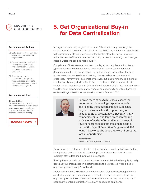SECURITY & COLLABORATION

#### **Recommended Actions**

- $\Box$  Set a clear policy for how data will be managed within the organization.
- $\Box$  Research and evaluate entity management systems to find one that can centralize and automate your data processes.
- $\Box$  Once the system is implemented, assign data roles and responsibilities to ensure adoption and promote effective data hygiene.

#### **Recommended Tool**

#### **Diligent Entities**

Centralize and manage your corporate record to improve entity governance, meet compliance obligations, mitigate risk and accelerate decision-making.

**[REQUEST A DEMO](https://learn.diligent.com/MGS2020PostEventMeetingRequest.html?utm_source=MGSRecap&utm_medium=email&utm_campaign=DILpg8)**

# **5. Get Organizational Buy-in for Data Centralization**

An organization is only as good as its data. This is particularly true for global corporations that stretch across regions and jurisdictions, and for any organization with subsidiaries. Manual processes, often kept in place by inertia, introduce redundancies, inefficiencies and errors. Compliance and reporting deadlines get missed. Decisions can't be made quickly.

Compliance officers, general counsels, paralegals and legal operations teams typically appreciate the importance of maintaining data integrity. Yet other departments within the organization – including finance, accounting, tax and human resources – are often maintaining their own data repositories and processes. They strive for data integrity as well, but maintaining multiple systems simultaneously always invites risk. In fact, an estimated 23% of spreadsheets contain errors. Incorrect data or data scattered across multiple locations can mean the difference between taking advantage of an opportunity or letting it pass by, explained Reyner Meikle at Modern Governance Summit 2020:



"I always try to stress to business leaders the importance of managing corporate records and keeping those records updated. Because they never know when the opportunity or need is going to present itself. [Recently] many companies, small and large, were scrambling with a lot of added effort and intensity to pull together corporate documents and records as part of the Payroll Protection Program and SBA loans. Those organizations that were ill-prepared lost an opportunity."

Reyner Meikle President & CEO, Agile Legal Services

Every business unit has a vested interest in ensuring a single set of data. Setting clear policies ahead of time will assuage potential concerns about who has oversight of the data and how it will be managed.

"Having these records kept current, updated and maintained with regularity really does put your organization in a better position to be prepared when a deal or opportunity comes along," said Meikle.

Implementing a centralized corporate record, one that ensures all departments are drinking from the same data well, eliminates the need to scramble when opportunity arises. Data centralization saves time and money, reduces risk and positions the entire organization to act with speed and confidence.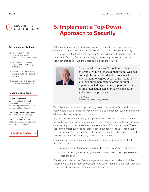

- $\Box$  Raise recognition of cybersecurity as an enterprise-wide strategic risk.
- $\Box$  Help boards understand their organization's unique legal obligations.
- $\Box$  Provide boards with access to appropriate cybersecurity expertise.
- $\Box$  Secure board and leadership communication accordingly.

#### **Recommended Tools**

#### **Diligent Compliance**

Meet internal and external compliance obligations with automated processes to collate business-critical information.

#### **Leadership Collaboration Suite**

An end-to-end solution that enables executives and leadership teams to collaborate effectively, make agile decisions and mitigate security risks.



# **6. Implement a Top-Down Approach to Security**

Cybersecurity has traditionally been treated with a bottom-up approach – something that an IT department had to solve on its own. However, as Larry Clinton, President of the Internet Security Alliance, discussed with Diligent's Chief Information Security Officer Henry Jiang, cybersecurity requires a top-down approach that begins with the board and the general counsel.



"Cybersecurity is not an IT problem…. It is an enterprise-wide risk management issue. We need oversight from the board of directors to set the environment for a good cybersecurity culture – and then put in parameters for the cultural supports (including economic supports) so the entire organization can embrace cybersecurity and follow best practices."

Larry Clinton President, Internet Security Alliance

To implement this top-down approach, cybersecurity must be factored into all board decisions. No longer a single item on the board agenda, cyber risk must be a lens applied to every board decision.

"Cybersecurity was traditionally thought of as an appendage issue that you tack on to a board meeting for 15 minutes at the end," said Clinton, explaining that now cybersecurity must be treated the same as legal and financial decisions. "There is not a single major business decision [today] that does not include cybersecurity considerations. Cybersecurity needs to be woven into the entire process…. That's the message about cybersecurity: We're all in this together."

According to Clinton, management (including both security and legal) should present to boards:

- 1. A cybersecurity framework detailing where data is and how it operates.
- 2. A cyber-management strategy led by someone with cross-organizational responsibility.

Boards should also expect from management an economic and empirical risk assessment. With this information, boards and senior leadership can work together to set the risk appetite and manage risk to that level.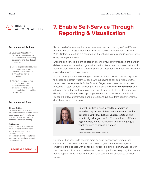

- $\Box$  Leverage Diligent Entities for critical searchability so stakeholders can access key documents and data through custom portals.
- $\Box$  Link to appropriate resources and platform locations from sub-portals to enable a streamlined flow of information.
- $\Box$  Maintain accuracy of your corporate record and streamline collaboration on key documents with a secure collaboration tool like DotApprove.

#### **Recommended Tools**

#### **Diligent Entities**

Centralize and manage your corporate record to improve entity governance, meet compliance obligations, mitigate risk and accelerate decision-making.

#### **DotApprove**

A secure tool that streamlines key document workflows and approvals across multiple stakeholders within an organization, giving compliance teams confidence in an accurate corporate record.

**[REQUEST A DEMO](https://learn.diligent.com/MGS2020PostEventMeetingRequest.html?utm_source=MGSRecap&utm_medium=email&utm_campaign=DILpg10 )** $\rightarrow$ 

# **7. Enable Self-Service Through Reporting & Visualization**

"I'm so tired of answering the same questions over and over again," said Teresa Redman, Entity Manager, World Fuel Services, at Modern Governance Summit 2020. Unfortunately, this is a common sentiment among many administrators in the entity management realm.

Enabling self-service is a critical step in ensuring your entity management platform delivers value for the entire organization. Various teams and business partners all need different information at different times, but that shouldn't mean wires become crossed or processes slow down.

With an entity governance strategy in place, business stakeholders are equipped to access and obtain what they need, without having to ask administrators the same questions repeatedly. At the Summit, Diligent customers discussed best practices: Custom portals, for example, are available within **Diligent Entities** and allow administrators to drive cross-departmental users into the platform and land directly on the information or reporting they need. Administrator controls help manage the flow of information and protect sensitive data from departments that don't have reason to access it.



"Diligent Entities is such a good tool, and it's so versatile. Any bucket of data that you want to put into this thing, you can.... It really enables you to design specifically what you need.... [You can] link to different legal entities, link to individuals, and also [highlight] what you need to have at a glance."

Teresa Redman Entity Manager, World Fuel Services

Helping all business units become more self-sufficient not only streamlines systems and processes, but it also increases organizational knowledge and empowers the business with better information, explained Redman. Easy search functionality is critical, enabling teams across an organization to quickly find minute books, reports, visualization charts and other core data to accelerate decisionmaking.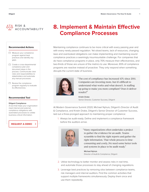

- $\Box$  Measure your compliance program against best practices and identify any gaps.
- $\Box$  Create a cross-departmental compliance plan and document steps in the process. Communicate clear roles and responsibilities to stakeholders and automate any manual processes.
- $\Box$  Review the compliance program regularly to evaluate its effectiveness.

#### **Recommended Tool**

#### **Diligent Compliance**

A tool that helps your organization meet internal and external compliance obligations with automated processes to collate business-critical information.

### **[REQUEST A DEMO](https://learn.diligent.com/MGS2020PostEventMeetingRequest.html?utm_source=MGSRecap&utm_medium=email&utm_campaign=DILpg11 )**

# **8. Implement & Maintain Effective Compliance Processes**

Maintaining compliance continues to be more critical with every passing year and with every newly passed regulation. Yet siloed teams, lack of resources, changing laws and overlooked obligations can make implementing and maintaining sound compliance practices a seemingly insurmountable challenge. For companies that do have compliance programs in place, only 70% measure their effectiveness, and two-thirds of those are unsure of the metrics to use. Moreover, 65% of compliance programs are reactive instead of proactive: They only respond when something disrupts the current state of business.



"The cost of compliance has increased 43% since 2011. Companies are investing more, but it's difficult to understand what works and what doesn't. Is staffing up going to make you more compliant? Does it deliver results?"

Kristin Drake Senior Director, Customer Success, Diligent

At Modern Governance Summit 2020, Michael Nyhuis, Diligent's Director of Audit & Compliance, and Kristin Drake, Diligent's Senior Director of Customer Success, laid out a three-pronged approach to maintaining proper compliance:

1. Always be audit-ready. Define and implement a compliance framework before the auditors arrive.



"Many organizations often undertake a project to gather the evidence for an audit. Teams scramble to find the right reports and gather the right information. That whole process is timeconsuming and costly...We need some better tools and systems in place to be audit-ready."

Michael Nyhuis Director of Audit & Compliance, Diligent

- 2. Utilize technology to better monitor and assess risks in real time, and automate those processes to stay ahead of changing regulations.
- 3. Leverage best practices by removing silos between compliance teams, risk managers and internal auditors. Find the common activities that support multiple frameworks simultaneously. Deploy them once and use them repeatedly.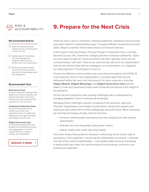

- $\Box$  Build an infrastructure that enables secure communication in times of crisis.
- $\Box$  Assess gaps in compliance and risk management programs that may pose further risk to the organization.
- $\Box$  Ensure governance teams have the tools they need to stay alert on developing news and regulations.

#### **Recommended Tools**

#### **Governance Cloud**

A secure software ecosystem that digitizes the various activities and tasks for the board of directors, helping them stay organized and prepared for the next crisis.

#### **Leadership Collaboration Suite**

An end-to-end solution that enables executives and leadership teams to collaborate effectively, make agile decisions and mitigate security risks.

#### **Diligent Governance Intel**

An AI-powered application that enables environmental scanning, news aggregation and trend analysis for your company, industry and competitors.

**[REQUEST A DEMO](https://learn.diligent.com/MGS2020PostEventMeetingRequest.html?utm_source=MGSRecap&utm_medium=email&utm_campaign=DILpg12)**

# **9. Prepare for the Next Crisis**

2020 has been a year to remember. Company leadership, operations and processes have been tested in unprecedented ways. Throughout Modern Governance Summit 2020, Diligent customers shared best practices and lessons learned.

In the session *From Surviving to Thriving Through a Corporate Crisis*, Lucy Fato, General Counsel, AIG, shared her vantage point from executive leadership: "[Early on] I was asked to take on a more prominent role than I typically would around communications," she said. "How do we communicate with all of our stakeholders? How do we communicate with our colleagues, our shareholders, our regulators, our rating agencies? This list goes on and on."

Secure and effective communication was a key theme throughout the COVID-19 crisis response, and for many organizations, it revealed gaps that must be addressed before the next crisis rolls around. For many customers, tools like Diligent Boards, Diligent Messenger and Diligent Governance Intel kept the board, C-suite and governance teams well-connected and secure at the height of the pandemic.

On the risk and compliance side, existing challenges were compounded by changing obligations and an evolving risk landscape.

Managing these challenges requires companies to be proactive, agile and informed. Organizations must begin to build and/or maintain the systems and processes that enable them to think strategically about the future. When assessing the role that technology will play, look for tools that:

- Enhance communication channels across the company and with relevant stakeholders.
- Evaluate risk more frequently using proper metrics.
- Gather, inspect and curate data and insights.

One silver lining of this pandemic has been a refocusing on the human side of governance. Fato explained: "I would say the relationships we've built – internally and with all the external stakeholders – have gotten better because everybody is dealing with each other first and foremost as human beings, and then in our professional capacities."